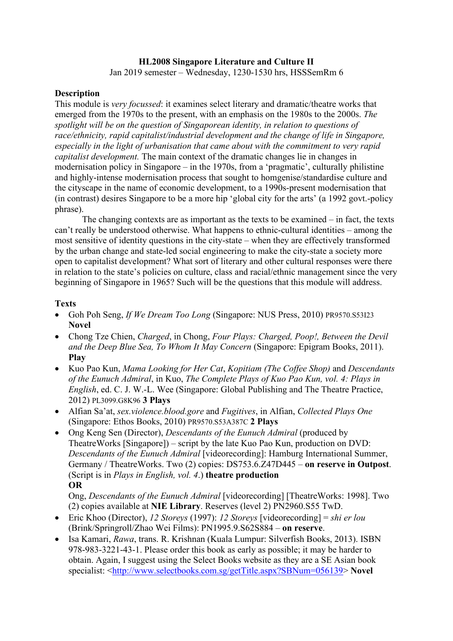# **HL2008 Singapore Literature and Culture II**

Jan 2019 semester – Wednesday, 1230-1530 hrs, HSSSemRm 6

#### **Description**

This module is *very focussed*: it examines select literary and dramatic/theatre works that emerged from the 1970s to the present, with an emphasis on the 1980s to the 2000s. *The spotlight will be on the question of Singaporean identity, in relation to questions of race/ethnicity, rapid capitalist/industrial development and the change of life in Singapore, especially in the light of urbanisation that came about with the commitment to very rapid capitalist development.* The main context of the dramatic changes lie in changes in modernisation policy in Singapore – in the 1970s, from a 'pragmatic', culturally philistine and highly-intense modernisation process that sought to homgenise/standardise culture and the cityscape in the name of economic development, to a 1990s-present modernisation that (in contrast) desires Singapore to be a more hip 'global city for the arts' (a 1992 govt.-policy phrase).

The changing contexts are as important as the texts to be examined – in fact, the texts can't really be understood otherwise. What happens to ethnic-cultural identities – among the most sensitive of identity questions in the city-state – when they are effectively transformed by the urban change and state-led social engineering to make the city-state a society more open to capitalist development? What sort of literary and other cultural responses were there in relation to the state's policies on culture, class and racial/ethnic management since the very beginning of Singapore in 1965? Such will be the questions that this module will address.

### **Texts**

- Goh Poh Seng, *If We Dream Too Long* (Singapore: NUS Press, 2010) PR9570.S53I23 **Novel**
- Chong Tze Chien, *Charged*, in Chong, *Four Plays: Charged, Poop!, Between the Devil and the Deep Blue Sea, To Whom It May Concern* (Singapore: Epigram Books, 2011). **Play**
- Kuo Pao Kun, *Mama Looking for Her Cat*, *Kopitiam (The Coffee Shop)* and *Descendants of the Eunuch Admiral*, in Kuo, *The Complete Plays of Kuo Pao Kun, vol. 4: Plays in English*, ed. C. J. W.-L. Wee (Singapore: Global Publishing and The Theatre Practice, 2012) PL3099.G8K96 **3 Plays**
- Alfian Sa'at, *sex.violence.blood.gore* and *Fugitives*, in Alfian, *Collected Plays One* (Singapore: Ethos Books, 2010) PR9570.S53A387C **2 Plays**
- Ong Keng Sen (Director), *Descendants of the Eunuch Admiral* (produced by TheatreWorks [Singapore]) – script by the late Kuo Pao Kun, production on DVD: *Descendants of the Eunuch Admiral* [videorecording]: Hamburg International Summer, Germany / TheatreWorks. Two (2) copies: DS753.6.Z47D445 – **on reserve in Outpost**. (Script is in *Plays in English, vol. 4*.) **theatre production OR**

Ong, *Descendants of the Eunuch Admiral* [videorecording] [TheatreWorks: 1998]. Two (2) copies available at **NIE Library**. Reserves (level 2) PN2960.S55 TwD.

- Eric Khoo (Director), *12 Storeys* (1997): *12 Storeys* [videorecording] = *shi er lou* (Brink/Springroll/Zhao Wei Films): PN1995.9.S62S884 – **on reserve**.
- Isa Kamari, *Rawa*, trans. R. Krishnan (Kuala Lumpur: Silverfish Books, 2013). ISBN 978-983-3221-43-1. Please order this book as early as possible; it may be harder to obtain. Again, I suggest using the Select Books website as they are a SE Asian book specialist: [<http://www.selectbooks.com.sg/getTitle.aspx?SBNum=056139>](http://www.selectbooks.com.sg/getTitle.aspx?SBNum=056139) **Novel**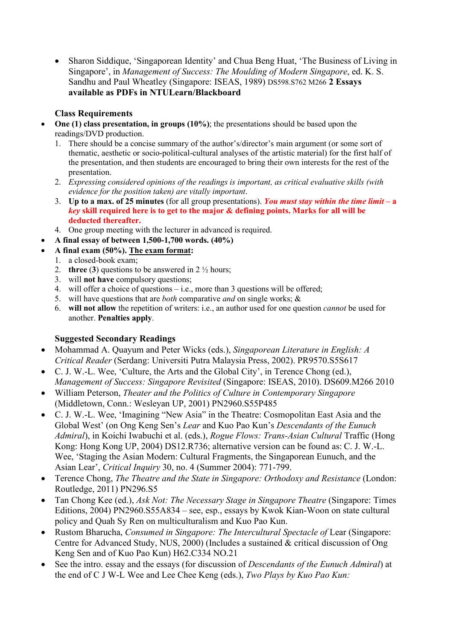• Sharon Siddique, 'Singaporean Identity' and Chua Beng Huat, 'The Business of Living in Singapore', in *Management of Success: The Moulding of Modern Singapore*, ed. K. S. Sandhu and Paul Wheatley (Singapore: ISEAS, 1989) DS598.S762 M266 **2 Essays available as PDFs in NTULearn/Blackboard**

# **Class Requirements**

- **One (1) class presentation, in groups (10%)**; the presentations should be based upon the readings/DVD production.
	- 1. There should be a concise summary of the author's/director's main argument (or some sort of thematic, aesthetic or socio-political-cultural analyses of the artistic material) for the first half of the presentation, and then students are encouraged to bring their own interests for the rest of the presentation.
	- 2. *Expressing considered opinions of the readings is important, as critical evaluative skills (with evidence for the position taken) are vitally important*.
	- 3. **Up to a max. of 25 minutes** (for all group presentations). *You must stay within the time limit* **– a**  *key* **skill required here is to get to the major & defining points. Marks for all will be deducted thereafter.**
	- 4. One group meeting with the lecturer in advanced is required.
- **A final essay of between 1,500-1,700 words. (40%)**
- **A final exam (50%). The exam format:** 
	- 1. a closed-book exam;
	- 2. **three** (**3**) questions to be answered in 2 ½ hours;
	- 3. will **not have** compulsory questions;
	- 4. will offer a choice of questions i.e., more than 3 questions will be offered;
	- 5. will have questions that are *both* comparative *and* on single works; &
	- 6. **will not allow** the repetition of writers: i.e., an author used for one question *cannot* be used for another. **Penalties apply**.

# **Suggested Secondary Readings**

- Mohammad A. Quayum and Peter Wicks (eds.), *Singaporean Literature in English: A Critical Reader* (Serdang: Universiti Putra Malaysia Press, 2002). PR9570.S5S617
- C. J. W.-L. Wee, 'Culture, the Arts and the Global City', in Terence Chong (ed.), *Management of Success: Singapore Revisited* (Singapore: ISEAS, 2010). DS609.M266 2010
- William Peterson, *Theater and the Politics of Culture in Contemporary Singapore* (Middletown, Conn.: Wesleyan UP, 2001) PN2960.S55P485
- C. J. W.-L. Wee, 'Imagining "New Asia" in the Theatre: Cosmopolitan East Asia and the Global West' (on Ong Keng Sen's *Lear* and Kuo Pao Kun's *Descendants of the Eunuch Admiral*), in Koichi Iwabuchi et al. (eds.), *Rogue Flows: Trans-Asian Cultural* Traffic (Hong Kong: Hong Kong UP, 2004) DS12.R736; alternative version can be found as: C. J. W.-L. Wee, 'Staging the Asian Modern: Cultural Fragments, the Singaporean Eunuch, and the Asian Lear', *Critical Inquiry* 30, no. 4 (Summer 2004): 771-799.
- Terence Chong, *The Theatre and the State in Singapore: Orthodoxy and Resistance* (London: Routledge, 2011) PN296.S5
- Tan Chong Kee (ed.), *Ask Not: The Necessary Stage in Singapore Theatre* (Singapore: Times Editions, 2004) PN2960.S55A834 – see, esp., essays by Kwok Kian-Woon on state cultural policy and Quah Sy Ren on multiculturalism and Kuo Pao Kun.
- Rustom Bharucha, *Consumed in Singapore: The Intercultural Spectacle of Lear (Singapore:* Centre for Advanced Study, NUS, 2000) (Includes a sustained & critical discussion of Ong Keng Sen and of Kuo Pao Kun) H62.C334 NO.21
- See the intro. essay and the essays (for discussion of *Descendants of the Eunuch Admiral*) at the end of C J W-L Wee and Lee Chee Keng (eds.), *Two Plays by Kuo Pao Kun:*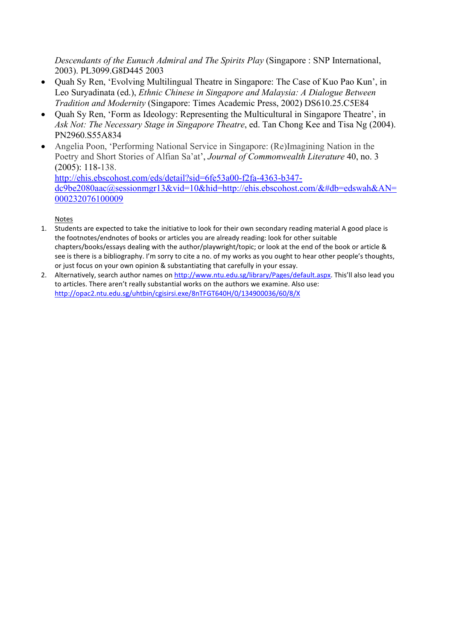*Descendants of the Eunuch Admiral and The Spirits Play* (Singapore : SNP International, 2003). PL3099.G8D445 2003

- Quah Sy Ren, 'Evolving Multilingual Theatre in Singapore: The Case of Kuo Pao Kun', in Leo Suryadinata (ed.), *Ethnic Chinese in Singapore and Malaysia: A Dialogue Between Tradition and Modernity* (Singapore: Times Academic Press, 2002) DS610.25.C5E84
- Quah Sy Ren, 'Form as Ideology: Representing the Multicultural in Singapore Theatre', in *Ask Not: The Necessary Stage in Singapore Theatre*, ed. Tan Chong Kee and Tisa Ng (2004). PN2960.S55A834
- Angelia Poon, 'Performing National Service in Singapore: (Re)Imagining Nation in the Poetry and Short Stories of Alfian Sa'at', *Journal of Commonwealth Literature* 40, no. 3 (2005): 118-138. [http://ehis.ebscohost.com/eds/detail?sid=6fe53a00-f2fa-4363-b347-](http://ehis.ebscohost.com/eds/detail?sid=6fe53a00-f2fa-4363-b347-dc9be2080aac@sessionmgr13&vid=10&hid=http://ehis.ebscohost.com/&#db=edswah&AN=000232076100009)

[dc9be2080aac@sessionmgr13&vid=10&hid=http://ehis.ebscohost.com/&#db=edswah&AN=](http://ehis.ebscohost.com/eds/detail?sid=6fe53a00-f2fa-4363-b347-dc9be2080aac@sessionmgr13&vid=10&hid=http://ehis.ebscohost.com/&#db=edswah&AN=000232076100009) [000232076100009](http://ehis.ebscohost.com/eds/detail?sid=6fe53a00-f2fa-4363-b347-dc9be2080aac@sessionmgr13&vid=10&hid=http://ehis.ebscohost.com/&#db=edswah&AN=000232076100009)

Notes

- 1. Students are expected to take the initiative to look for their own secondary reading material A good place is the footnotes/endnotes of books or articles you are already reading: look for other suitable chapters/books/essays dealing with the author/playwright/topic; or look at the end of the book or article & see is there is a bibliography. I'm sorry to cite a no. of my works as you ought to hear other people's thoughts, or just focus on your own opinion & substantiating that carefully in your essay.
- 2. Alternatively, search author names on [http://www.ntu.edu.sg/library/Pages/default.aspx.](http://www.ntu.edu.sg/library/Pages/default.aspx) This'll also lead you to articles. There aren't really substantial works on the authors we examine. Also use: <http://opac2.ntu.edu.sg/uhtbin/cgisirsi.exe/8nTFGT640H/0/134900036/60/8/X>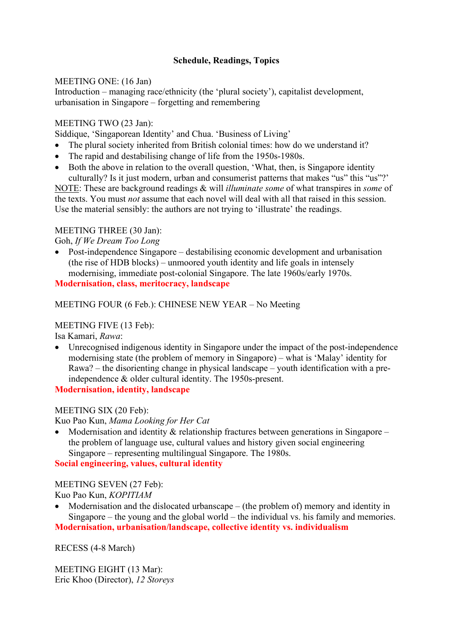# **Schedule, Readings, Topics**

### MEETING ONE: (16 Jan)

Introduction – managing race/ethnicity (the 'plural society'), capitalist development, urbanisation in Singapore – forgetting and remembering

## MEETING TWO (23 Jan):

Siddique, 'Singaporean Identity' and Chua. 'Business of Living'

- The plural society inherited from British colonial times: how do we understand it?
- The rapid and destabilising change of life from the 1950s-1980s.
- Both the above in relation to the overall question, 'What, then, is Singapore identity culturally? Is it just modern, urban and consumerist patterns that makes "us" this "us"?'

NOTE: These are background readings & will *illuminate some* of what transpires in *some* of the texts. You must *not* assume that each novel will deal with all that raised in this session. Use the material sensibly: the authors are not trying to 'illustrate' the readings.

# MEETING THREE (30 Jan):

Goh, *If We Dream Too Long*

• Post-independence Singapore – destabilising economic development and urbanisation (the rise of HDB blocks) – unmoored youth identity and life goals in intensely modernising, immediate post-colonial Singapore. The late 1960s/early 1970s. **Modernisation, class, meritocracy, landscape**

MEETING FOUR (6 Feb.): CHINESE NEW YEAR – No Meeting

#### MEETING FIVE (13 Feb):

Isa Kamari, *Rawa*:

• Unrecognised indigenous identity in Singapore under the impact of the post-independence modernising state (the problem of memory in Singapore) – what is 'Malay' identity for Rawa? – the disorienting change in physical landscape – youth identification with a preindependence & older cultural identity. The 1950s-present.

**Modernisation, identity, landscape**

# MEETING SIX (20 Feb):

Kuo Pao Kun, *Mama Looking for Her Cat*

• Modernisation and identity & relationship fractures between generations in Singapore – the problem of language use, cultural values and history given social engineering Singapore – representing multilingual Singapore. The 1980s.

**Social engineering, values, cultural identity**

MEETING SEVEN (27 Feb):

Kuo Pao Kun, *KOPITIAM*

Modernisation and the dislocated urbanscape – (the problem of) memory and identity in Singapore – the young and the global world – the individual vs. his family and memories. **Modernisation, urbanisation/landscape, collective identity vs. individualism**

RECESS (4-8 March)

MEETING EIGHT (13 Mar): Eric Khoo (Director), *12 Storeys*